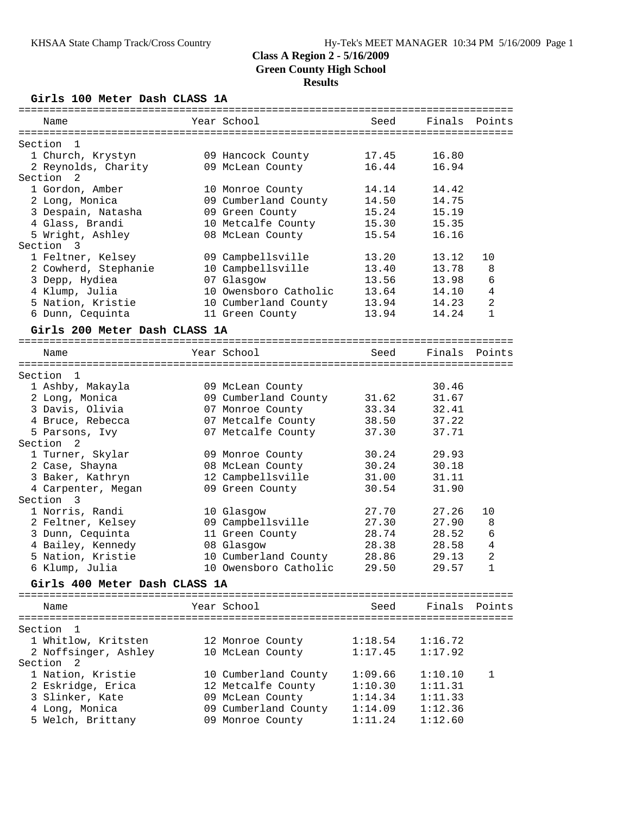**Girls 100 Meter Dash CLASS 1A**

| Name                               | Year School                              | Seed           | Finals         | Points         |
|------------------------------------|------------------------------------------|----------------|----------------|----------------|
| Section<br>1                       |                                          |                |                |                |
| 1 Church, Krystyn                  | 09 Hancock County                        | 17.45          | 16.80          |                |
| 2 Reynolds, Charity                | 09 McLean County                         | 16.44          | 16.94          |                |
| Section 2                          |                                          |                |                |                |
| 1 Gordon, Amber                    | 10 Monroe County                         | 14.14          | 14.42          |                |
| 2 Long, Monica                     | 09 Cumberland County                     | 14.50          | 14.75          |                |
| 3 Despain, Natasha                 | 09 Green County                          | 15.24          | 15.19          |                |
| 4 Glass, Brandi                    | 10 Metcalfe County                       | 15.30          | 15.35          |                |
| 5 Wright, Ashley                   | 08 McLean County                         | 15.54          | 16.16          |                |
| Section 3                          |                                          |                |                |                |
| 1 Feltner, Kelsey                  | 09 Campbellsville                        | 13.20          | 13.12          | 10             |
| 2 Cowherd, Stephanie               | 10 Campbellsville                        | 13.40          | 13.78          | 8              |
| 3 Depp, Hydiea                     | 07 Glasgow                               | 13.56          | 13.98          | 6              |
| 4 Klump, Julia                     | 10 Owensboro Catholic                    | 13.64          | 14.10          | $\overline{4}$ |
| 5 Nation, Kristie                  | 10 Cumberland County                     | 13.94          | 14.23          | $\overline{a}$ |
| 6 Dunn, Cequinta                   | 11 Green County                          | 13.94          | 14.24          | $\mathbf{1}$   |
| Girls 200 Meter Dash CLASS 1A      |                                          |                |                |                |
| Name                               | Year School                              | Seed           | Finals         | Points         |
|                                    |                                          |                |                |                |
| Section 1                          |                                          |                |                |                |
| 1 Ashby, Makayla                   | 09 McLean County                         |                | 30.46          |                |
| 2 Long, Monica                     | 09 Cumberland County                     | 31.62          | 31.67          |                |
| 3 Davis, Olivia                    | 07 Monroe County                         | 33.34<br>38.50 | 32.41<br>37.22 |                |
| 4 Bruce, Rebecca<br>5 Parsons, Ivy | 07 Metcalfe County<br>07 Metcalfe County | 37.30          | 37.71          |                |
| Section 2                          |                                          |                |                |                |
| 1 Turner, Skylar                   | 09 Monroe County                         | 30.24          | 29.93          |                |
| 2 Case, Shayna                     | 08 McLean County                         | 30.24          | 30.18          |                |
| 3 Baker, Kathryn                   | 12 Campbellsville                        | 31.00          | 31.11          |                |
| 4 Carpenter, Megan                 | 09 Green County                          | 30.54          | 31.90          |                |
| Section 3                          |                                          |                |                |                |
| 1 Norris, Randi                    | 10 Glasgow                               | 27.70          | 27.26          | 10             |
| 2 Feltner, Kelsey                  | 09 Campbellsville                        | 27.30          | 27.90          | 8              |
| 3 Dunn, Cequinta                   | 11 Green County                          | 28.74          | 28.52          | 6              |
| 4 Bailey, Kennedy                  | 08 Glasgow                               | 28.38          | 28.58          | 4              |
| 5 Nation, Kristie                  | 10 Cumberland County                     | 28.86          | 29.13          | 2              |
| 6 Klump, Julia                     | 10 Owensboro Catholic                    | 29.50          | 29.57          | $1\,$          |
| Girls 400 Meter Dash CLASS 1A      |                                          |                |                |                |
|                                    |                                          |                |                |                |
| Name                               | Year School                              | Seed           | Finals         | Points         |
| Section 1                          |                                          |                |                |                |
| 1 Whitlow, Kritsten                | 12 Monroe County                         | 1:18.54        | 1:16.72        |                |
| 2 Noffsinger, Ashley               | 10 McLean County                         | 1:17.45        | 1:17.92        |                |
| Section<br>-2                      |                                          |                |                |                |
| 1 Nation, Kristie                  | 10 Cumberland County                     | 1:09.66        | 1:10.10        | 1              |
| 2 Eskridge, Erica                  | 12 Metcalfe County                       | 1:10.30        | 1:11.31        |                |
| 3 Slinker, Kate                    | 09 McLean County                         | 1:14.34        | 1:11.33        |                |
| 4 Long, Monica                     | 09 Cumberland County                     | 1:14.09        | 1:12.36        |                |
| 5 Welch, Brittany                  | 09 Monroe County                         | 1:11.24        | 1:12.60        |                |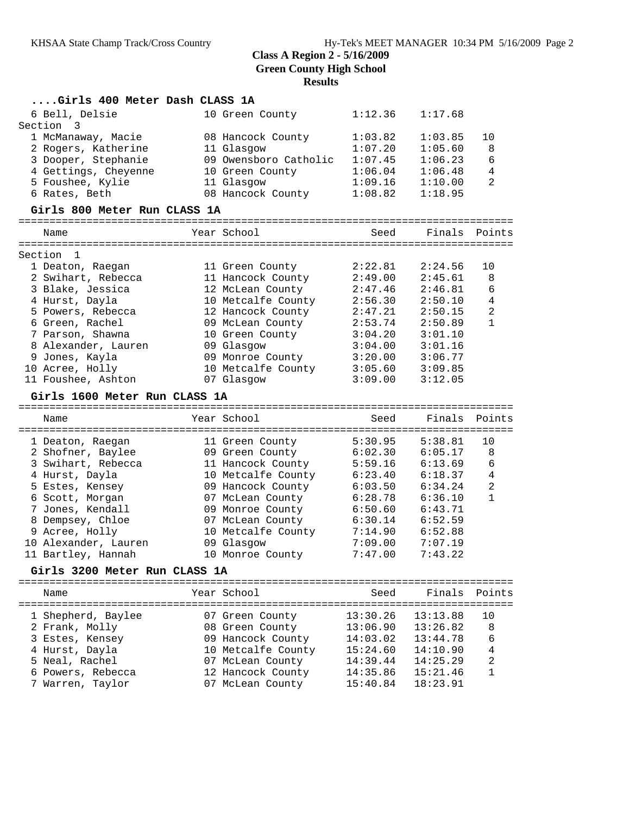| Girls 400 Meter Dash CLASS 1A        |                                        |                    |                    |                              |
|--------------------------------------|----------------------------------------|--------------------|--------------------|------------------------------|
| 6 Bell, Delsie                       | 10 Green County                        | 1:12.36            | 1:17.68            |                              |
| Section<br>3                         |                                        |                    |                    |                              |
| 1 McManaway, Macie                   | 08 Hancock County                      | 1:03.82            | 1:03.85            | 10                           |
| 2 Rogers, Katherine                  | 11 Glasgow                             | 1:07.20            | 1:05.60            | 8                            |
| 3 Dooper, Stephanie                  | 09 Owensboro Catholic                  | 1:07.45            | 1:06.23            | 6                            |
| 4 Gettings, Cheyenne                 | 10 Green County                        | 1:06.04            | 1:06.48            | $\overline{4}$               |
| 5 Foushee, Kylie                     | 11 Glasgow                             | 1:09.16            | 1:10.00            | $\overline{a}$               |
| 6 Rates, Beth                        | 08 Hancock County                      | 1:08.82            | 1:18.95            |                              |
| Girls 800 Meter Run CLASS 1A         |                                        |                    |                    |                              |
| Name                                 | Year School                            | Seed               | Finals             | Points                       |
|                                      |                                        |                    |                    |                              |
| Section<br>1                         |                                        |                    |                    |                              |
| 1 Deaton, Raegan                     | 11 Green County                        | 2:22.81            | 2:24.56            | 10                           |
| 2 Swihart, Rebecca                   | 11 Hancock County                      | 2:49.00            | 2:45.61            | 8                            |
| 3 Blake, Jessica                     | 12 McLean County                       | 2:47.46            | 2:46.81            | 6                            |
| 4 Hurst, Dayla                       | 10 Metcalfe County                     | 2:56.30            | 2:50.10            | 4                            |
| 5 Powers, Rebecca                    | 12 Hancock County                      | 2:47.21            | 2:50.15            | $\overline{a}$               |
| 6 Green, Rachel                      | 09 McLean County                       | 2:53.74            | 2:50.89            | 1                            |
| 7 Parson, Shawna                     | 10 Green County                        | 3:04.20            | 3:01.10            |                              |
| 8 Alexander, Lauren                  | 09 Glasgow                             | 3:04.00            | 3:01.16            |                              |
| 9 Jones, Kayla                       | 09 Monroe County                       | 3:20.00            | 3:06.77            |                              |
| 10 Acree, Holly                      | 10 Metcalfe County                     | 3:05.60            | 3:09.85            |                              |
| 11 Foushee, Ashton                   | 07 Glasgow                             | 3:09.00            | 3:12.05            |                              |
| Girls 1600 Meter Run CLASS 1A        |                                        |                    |                    |                              |
|                                      |                                        |                    |                    |                              |
| Name                                 | Year School                            | Seed               | Finals             | Points                       |
|                                      |                                        |                    |                    |                              |
| 1 Deaton, Raegan                     | 11 Green County                        | 5:30.95            | 5:38.81            | 10                           |
| 2 Shofner, Baylee                    | 09 Green County                        | 6:02.30            | 6:05.17            | 8                            |
| 3 Swihart, Rebecca                   | 11 Hancock County                      | 5:59.16            | 6:13.69            | 6                            |
| 4 Hurst, Dayla                       | 10 Metcalfe County                     | 6:23.40            | 6:18.37            | $\overline{4}$<br>$\sqrt{2}$ |
| 5 Estes, Kensey                      | 09 Hancock County                      | 6:03.50            | 6:34.24            | $\mathbf{1}$                 |
| 6 Scott, Morgan                      | 07 McLean County                       | 6:28.78            | 6:36.10<br>6:43.71 |                              |
| 7 Jones, Kendall<br>8 Dempsey, Chloe | 09 Monroe County                       | 6:50.60            | 6:52.59            |                              |
|                                      | 07 McLean County<br>10 Metcalfe County | 6:30.14<br>7:14.90 |                    |                              |
| 9 Acree, Holly                       |                                        | 7:09.00            | 6:52.88<br>7:07.19 |                              |
| 10 Alexander, Lauren                 | 09 Glasgow<br>10 Monroe County         | 7:47.00            | 7:43.22            |                              |
| 11 Bartley, Hannah                   |                                        |                    |                    |                              |
| Girls 3200 Meter Run CLASS 1A        |                                        |                    |                    |                              |
| Name                                 | Year School                            | Seed               | Finals             | Points                       |
|                                      |                                        |                    |                    |                              |
| 1 Shepherd, Baylee                   | 07 Green County                        | 13:30.26           | 13:13.88           | 10                           |
| 2 Frank, Molly                       | 08 Green County                        | 13:06.90           | 13:26.82           | 8                            |
| 3 Estes, Kensey                      | 09 Hancock County                      | 14:03.02           | 13:44.78           | 6                            |
| 4 Hurst, Dayla                       | 10 Metcalfe County                     | 15:24.60           | 14:10.90           | 4                            |
| 5 Neal, Rachel                       | 07 McLean County                       | 14:39.44           | 14:25.29           | $\overline{2}$               |
| 6 Powers, Rebecca                    | 12 Hancock County                      | 14:35.86           | 15:21.46           | $\mathbf{1}$                 |
| 7 Warren, Taylor                     | 07 McLean County                       | 15:40.84           | 18:23.91           |                              |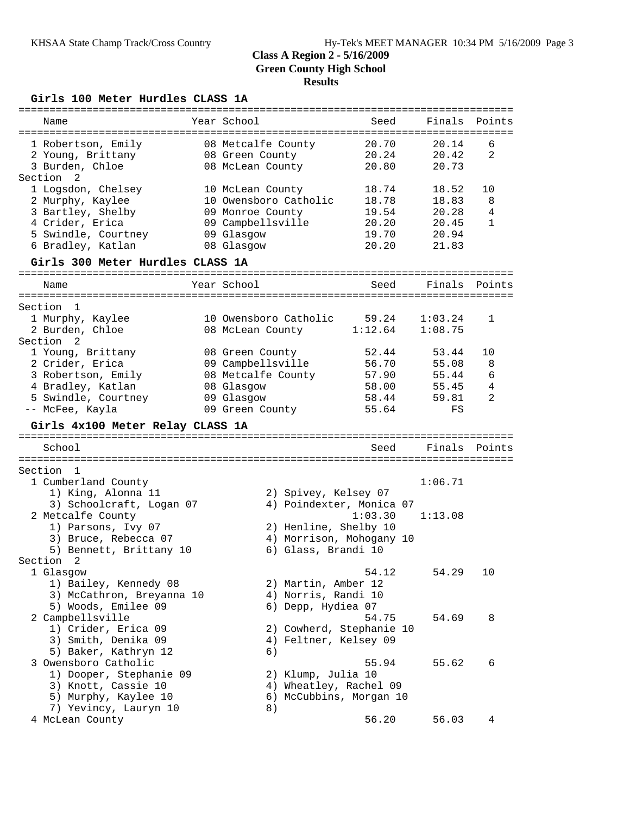#### **Girls 100 Meter Hurdles CLASS 1A**

| Name                                     | Year School                   | Seed           | Finals      | Points       |
|------------------------------------------|-------------------------------|----------------|-------------|--------------|
| 1 Robertson, Emily                       | 08 Metcalfe County            | 20.70          | 20.14       | 6            |
| 2 Young, Brittany                        | 08 Green County               | 20.24          | 20.42       | 2            |
| 3 Burden, Chloe                          | 08 McLean County              | 20.80          | 20.73       |              |
| Section 2                                |                               |                |             |              |
| 1 Logsdon, Chelsey                       | 10 McLean County              | 18.74          | 18.52       | 10           |
| 2 Murphy, Kaylee                         | 10 Owensboro Catholic         | 18.78          | 18.83       | 8            |
| 3 Bartley, Shelby                        | 09 Monroe County              | 19.54          | 20.28       | 4            |
| 4 Crider, Erica                          | 09 Campbellsville             | 20.20          | 20.45       | $\mathbf{1}$ |
| 5 Swindle, Courtney                      | 09 Glasgow                    | 19.70          | 20.94       |              |
| 6 Bradley, Katlan                        | 08 Glasgow                    | 20.20          | 21.83       |              |
| Girls 300 Meter Hurdles CLASS 1A         |                               |                |             |              |
| Name                                     | Year School                   | Seed           | Finals      | Points       |
|                                          |                               |                |             |              |
| Section<br>$\overline{1}$                |                               |                |             |              |
| 1 Murphy, Kaylee                         | 10 Owensboro Catholic         | 59.24          | 1:03.24     | 1            |
| 2 Burden, Chloe                          | 08 McLean County              | 1:12.64        | 1:08.75     |              |
| Section<br>- 2                           |                               |                |             |              |
| 1 Young, Brittany                        | 08 Green County               | 52.44          | 53.44       | 10           |
| 2 Crider, Erica                          | 09 Campbellsville             | 56.70          | 55.08       | 8            |
| 3 Robertson, Emily                       | 08 Metcalfe County            | 57.90          | 55.44       | 6            |
| 4 Bradley, Katlan                        | 08 Glasgow                    | 58.00          | 55.45       | 4            |
|                                          |                               |                |             |              |
| 5 Swindle, Courtney<br>-- McFee, Kayla   | 09 Glasgow<br>09 Green County | 58.44<br>55.64 | 59.81<br>FS | 2            |
|                                          |                               |                |             |              |
|                                          |                               |                |             |              |
| Girls 4x100 Meter Relay CLASS 1A         |                               |                |             |              |
| School                                   |                               | Seed           | Finals      | Points       |
| Section 1                                |                               |                |             |              |
| 1 Cumberland County                      |                               |                | 1:06.71     |              |
| 1) King, Alonna 11                       | 2) Spivey, Kelsey 07          |                |             |              |
| 3) Schoolcraft, Logan 07                 | 4) Poindexter, Monica 07      |                |             |              |
| 2 Metcalfe County                        |                               | 1:03.30        | 1:13.08     |              |
|                                          | 2) Henline, Shelby 10         |                |             |              |
| 1) Parsons, Ivy 07                       |                               |                |             |              |
| 3) Bruce, Rebecca 07                     | 4) Morrison, Mohogany 10      |                |             |              |
| 5) Bennett, Brittany 10<br>Section<br>-2 | 6) Glass, Brandi 10           |                |             |              |
|                                          |                               |                |             |              |
| 1 Glasgow                                |                               | 54.12          | 54.29       | 10           |
| 1) Bailey, Kennedy 08                    | 2) Martin, Amber 12           |                |             |              |
| 3) McCathron, Breyanna 10                | 4) Norris, Randi 10           |                |             |              |
| 5) Woods, Emilee 09                      | 6) Depp, Hydiea 07            |                |             |              |
| 2 Campbellsville                         |                               | 54.75          | 54.69       | 8            |
| 1) Crider, Erica 09                      | 2) Cowherd, Stephanie 10      |                |             |              |
| 3) Smith, Denika 09                      | 4) Feltner, Kelsey 09         |                |             |              |
| 5) Baker, Kathryn 12                     | 6)                            |                |             |              |
| 3 Owensboro Catholic                     |                               | 55.94          | 55.62       | 6            |
| 1) Dooper, Stephanie 09                  | 2) Klump, Julia 10            |                |             |              |
| 3) Knott, Cassie 10                      | 4) Wheatley, Rachel 09        |                |             |              |
| 5) Murphy, Kaylee 10                     | 6) McCubbins, Morgan 10       |                |             |              |
| 7) Yevincy, Lauryn 10                    | 8)                            |                |             |              |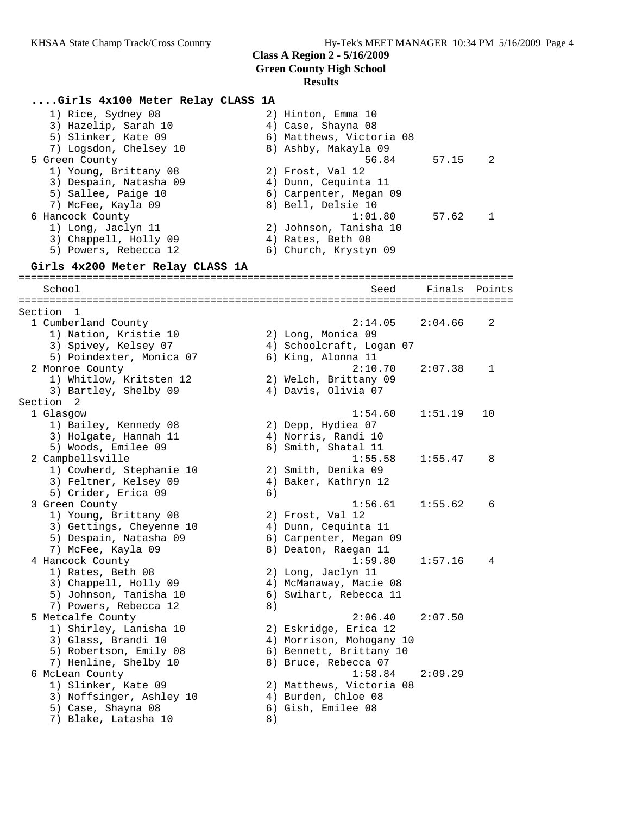# **....Girls 4x100 Meter Relay CLASS 1A**

| 1) Rice, Sydney 08<br>3) Hazelip, Sarah 10<br>5) Slinker, Kate 09 |    | 2) Hinton, Emma 10<br>4) Case, Shayna 08<br>6) Matthews, Victoria 08 |         |        |
|-------------------------------------------------------------------|----|----------------------------------------------------------------------|---------|--------|
| 7) Logsdon, Chelsey 10<br>5 Green County                          |    | 8) Ashby, Makayla 09<br>56.84                                        | 57.15   | 2      |
| 1) Young, Brittany 08                                             |    | 2) Frost, Val 12                                                     |         |        |
| 3) Despain, Natasha 09<br>5) Sallee, Paige 10                     |    | 4) Dunn, Cequinta 11<br>6) Carpenter, Megan 09                       |         |        |
| 7) McFee, Kayla 09                                                |    | 8) Bell, Delsie 10                                                   |         |        |
| 6 Hancock County                                                  |    | 1:01.80                                                              | 57.62   | 1      |
| 1) Long, Jaclyn 11                                                |    | 2) Johnson, Tanisha 10                                               |         |        |
| 3) Chappell, Holly 09                                             |    | 4) Rates, Beth 08                                                    |         |        |
| 5) Powers, Rebecca 12                                             |    | 6) Church, Krystyn 09                                                |         |        |
| Girls 4x200 Meter Relay CLASS 1A                                  |    |                                                                      |         |        |
| School                                                            |    | Seed                                                                 | Finals  | Points |
|                                                                   |    |                                                                      |         |        |
| Section<br>1                                                      |    |                                                                      |         |        |
| 1 Cumberland County                                               |    | 2:14.05                                                              | 2:04.66 | 2      |
| 1) Nation, Kristie 10                                             |    | 2) Long, Monica 09                                                   |         |        |
| 3) Spivey, Kelsey 07<br>5) Poindexter, Monica 07                  |    | 4) Schoolcraft, Logan 07<br>6) King, Alonna 11                       |         |        |
| 2 Monroe County                                                   |    | 2:10.70                                                              | 2:07.38 | 1      |
| 1) Whitlow, Kritsten 12                                           |    | 2) Welch, Brittany 09                                                |         |        |
| 3) Bartley, Shelby 09                                             |    | 4) Davis, Olivia 07                                                  |         |        |
| Section<br>-2                                                     |    |                                                                      |         |        |
| 1 Glasgow                                                         |    | 1:54.60                                                              | 1:51.19 | 10     |
| 1) Bailey, Kennedy 08                                             |    | 2) Depp, Hydiea 07                                                   |         |        |
| 3) Holgate, Hannah 11                                             |    | 4) Norris, Randi 10                                                  |         |        |
| 5) Woods, Emilee 09                                               |    | 6) Smith, Shatal 11                                                  |         |        |
| 2 Campbellsville                                                  |    | 1:55.58                                                              | 1:55.47 | 8      |
| 1) Cowherd, Stephanie 10                                          |    | 2) Smith, Denika 09                                                  |         |        |
| 3) Feltner, Kelsey 09                                             |    | 4) Baker, Kathryn 12                                                 |         |        |
| 5) Crider, Erica 09                                               | 6) |                                                                      |         |        |
| 3 Green County                                                    |    | 1:56.61                                                              | 1:55.62 | 6      |
| 1) Young, Brittany 08                                             |    | 2) Frost, Val 12                                                     |         |        |
| 3) Gettings, Cheyenne 10<br>5) Despain, Natasha 09                |    | 4) Dunn, Cequinta 11<br>6) Carpenter, Megan 09                       |         |        |
| 7) McFee, Kayla 09                                                |    | 8) Deaton, Raegan 11                                                 |         |        |
| 4 Hancock County                                                  |    | 1:59.80                                                              | 1:57.16 | 4      |
| 1) Rates, Beth 08                                                 |    | 2) Long, Jaclyn 11                                                   |         |        |
| 3) Chappell, Holly 09                                             |    | 4) McManaway, Macie 08                                               |         |        |
| 5) Johnson, Tanisha 10                                            | 6) | Swihart, Rebecca 11                                                  |         |        |
| 7) Powers, Rebecca 12                                             | 8) |                                                                      |         |        |
| 5 Metcalfe County                                                 |    | 2:06.40                                                              | 2:07.50 |        |
| 1) Shirley, Lanisha 10                                            |    | 2) Eskridge, Erica 12                                                |         |        |
| 3) Glass, Brandi 10                                               |    | 4) Morrison, Mohogany 10                                             |         |        |
| 5) Robertson, Emily 08                                            |    | 6) Bennett, Brittany 10                                              |         |        |
| 7) Henline, Shelby 10                                             |    | 8) Bruce, Rebecca 07                                                 |         |        |
| 6 McLean County                                                   |    | 1:58.84                                                              | 2:09.29 |        |
| 1) Slinker, Kate 09                                               |    | 2) Matthews, Victoria 08                                             |         |        |
| 3) Noffsinger, Ashley 10                                          |    | 4) Burden, Chloe 08                                                  |         |        |
| 5) Case, Shayna 08<br>7) Blake, Latasha 10                        |    | 6) Gish, Emilee 08                                                   |         |        |
|                                                                   | 8) |                                                                      |         |        |
|                                                                   |    |                                                                      |         |        |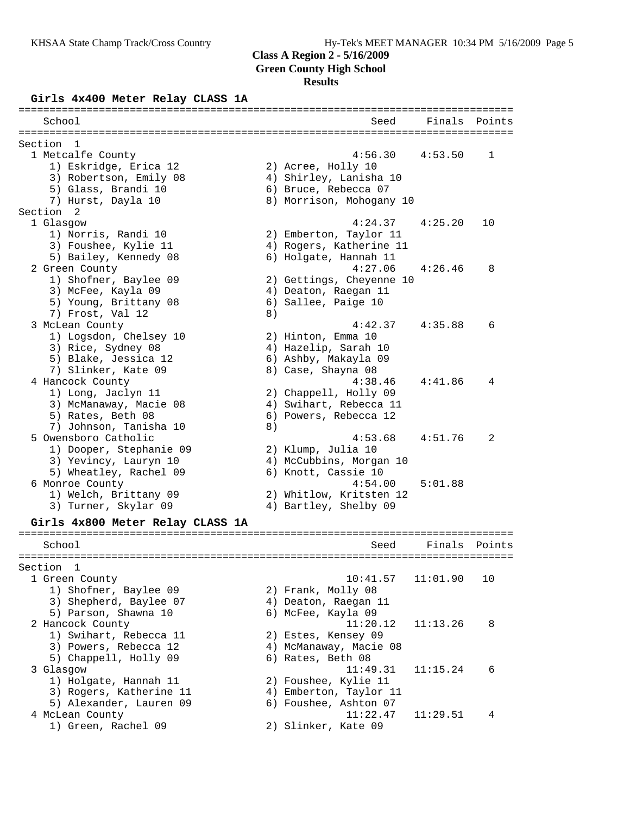### **Class A Region 2 - 5/16/2009**

**Green County High School**

# **Results**

#### **Girls 4x400 Meter Relay CLASS 1A**

| --------------<br>=============  |    | =======================  |          | ============== |
|----------------------------------|----|--------------------------|----------|----------------|
| School                           |    | Seed                     | Finals   | Points         |
| Section<br>-1                    |    |                          |          |                |
| 1 Metcalfe County                |    | 4:56.30                  | 4:53.50  | 1              |
| 1) Eskridge, Erica 12            |    | 2) Acree, Holly 10       |          |                |
| 3) Robertson, Emily 08           |    | 4) Shirley, Lanisha 10   |          |                |
| 5) Glass, Brandi 10              |    | 6) Bruce, Rebecca 07     |          |                |
| 7) Hurst, Dayla 10               |    | 8) Morrison, Mohogany 10 |          |                |
| Section<br>-2                    |    |                          |          |                |
| 1 Glasgow                        |    | 4:24.37                  | 4:25.20  | 10             |
| 1) Norris, Randi 10              |    | 2) Emberton, Taylor 11   |          |                |
| 3) Foushee, Kylie 11             |    | 4) Rogers, Katherine 11  |          |                |
| 5) Bailey, Kennedy 08            |    | 6) Holgate, Hannah 11    |          |                |
| 2 Green County                   |    | 4:27.06                  | 4:26.46  | 8              |
|                                  |    |                          |          |                |
| 1) Shofner, Baylee 09            |    | 2) Gettings, Cheyenne 10 |          |                |
| 3) McFee, Kayla 09               |    | 4) Deaton, Raegan 11     |          |                |
| 5) Young, Brittany 08            |    | 6) Sallee, Paige 10      |          |                |
| 7) Frost, Val 12                 | 8) |                          |          |                |
| 3 McLean County                  |    | 4:42.37                  | 4:35.88  | 6              |
| 1) Logsdon, Chelsey 10           |    | 2) Hinton, Emma 10       |          |                |
| 3) Rice, Sydney 08               |    | 4) Hazelip, Sarah 10     |          |                |
| 5) Blake, Jessica 12             |    | 6) Ashby, Makayla 09     |          |                |
| 7) Slinker, Kate 09              |    | 8) Case, Shayna 08       |          |                |
| 4 Hancock County                 |    | 4:38.46                  | 4:41.86  | 4              |
| 1) Long, Jaclyn 11               |    | 2) Chappell, Holly 09    |          |                |
| 3) McManaway, Macie 08           |    | 4) Swihart, Rebecca 11   |          |                |
| 5) Rates, Beth 08                |    | 6) Powers, Rebecca 12    |          |                |
| 7) Johnson, Tanisha 10           | 8) |                          |          |                |
| 5 Owensboro Catholic             |    | 4:53.68                  | 4:51.76  | 2              |
| 1) Dooper, Stephanie 09          |    | 2) Klump, Julia 10       |          |                |
| 3) Yevincy, Lauryn 10            |    | 4) McCubbins, Morgan 10  |          |                |
| 5) Wheatley, Rachel 09           |    | 6) Knott, Cassie 10      |          |                |
| 6 Monroe County                  |    | 4:54.00                  | 5:01.88  |                |
| 1) Welch, Brittany 09            |    | 2) Whitlow, Kritsten 12  |          |                |
| 3) Turner, Skylar 09             |    | 4) Bartley, Shelby 09    |          |                |
| Girls 4x800 Meter Relay CLASS 1A |    |                          |          |                |
|                                  |    |                          |          |                |
| School                           |    | Seed                     | Finals   | Points         |
| Section 1                        |    |                          |          |                |
| 1 Green County                   |    | 10:41.57                 | 11:01.90 | 10             |
| 1) Shofner, Baylee 09            |    | 2) Frank, Molly 08       |          |                |
|                                  |    |                          |          |                |
| 3) Shepherd, Baylee 07           |    | 4) Deaton, Raegan 11     |          |                |
| 5) Parson, Shawna 10             |    | 6) McFee, Kayla 09       |          |                |
| 2 Hancock County                 |    | 11:20.12                 | 11:13.26 | 8              |
| 1) Swihart, Rebecca 11           |    | 2) Estes, Kensey 09      |          |                |
| 3) Powers, Rebecca 12            |    | 4) McManaway, Macie 08   |          |                |
| 5) Chappell, Holly 09            |    | 6) Rates, Beth 08        |          |                |
| 3 Glasgow                        |    | 11:49.31                 | 11:15.24 | 6              |
| 1) Holgate, Hannah 11            |    | 2) Foushee, Kylie 11     |          |                |
| 3) Rogers, Katherine 11          |    | 4) Emberton, Taylor 11   |          |                |
| 5) Alexander, Lauren 09          |    | 6) Foushee, Ashton 07    |          |                |
| 4 McLean County                  |    | 11:22.47                 | 11:29.51 | 4              |
| 1) Green, Rachel 09              |    | 2) Slinker, Kate 09      |          |                |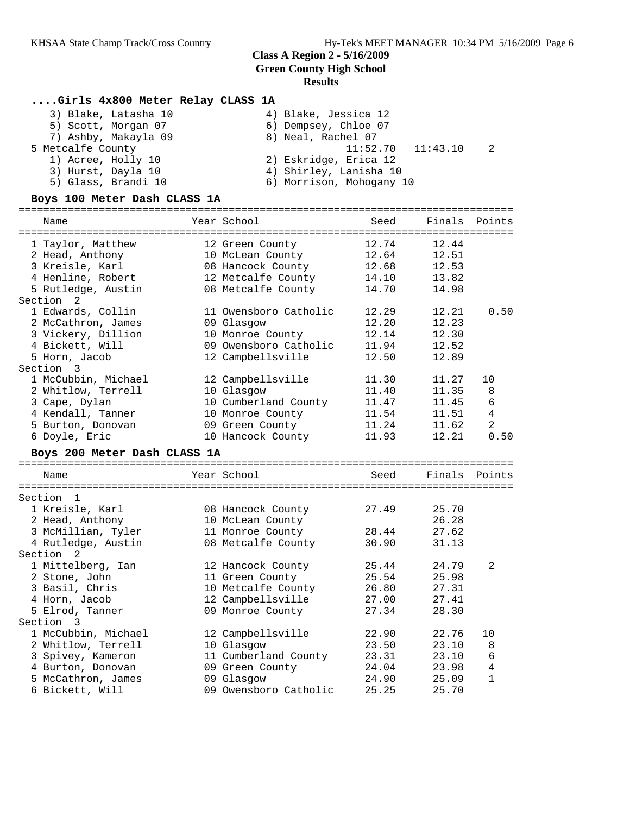================================================================================

# **....Girls 4x800 Meter Relay CLASS 1A**

| 3) Blake, Latasha 10 | 4) Blake, Jessica 12       |
|----------------------|----------------------------|
| 5) Scott, Morgan 07  | 6) Dempsey, Chloe 07       |
| 7) Ashby, Makayla 09 | 8) Neal, Rachel 07         |
| 5 Metcalfe County    | 2<br>$11:52.70$ $11:43.10$ |
| 1) Acree, Holly 10   | 2) Eskridge, Erica 12      |
| 3) Hurst, Dayla 10   | 4) Shirley, Lanisha 10     |
| 5) Glass, Brandi 10  | 6) Morrison, Mohogany 10   |
|                      |                            |

#### **Boys 100 Meter Dash CLASS 1A**

| Name                                                                                                                                                  | Year School                                                                                                         | Seed                                               | Finals                                             | Points                                                   |
|-------------------------------------------------------------------------------------------------------------------------------------------------------|---------------------------------------------------------------------------------------------------------------------|----------------------------------------------------|----------------------------------------------------|----------------------------------------------------------|
| 1 Taylor, Matthew<br>2 Head, Anthony<br>3 Kreisle, Karl<br>4 Henline, Robert<br>5 Rutledge, Austin<br>Section <sub>2</sub>                            | 12 Green County<br>10 McLean County<br>08 Hancock County<br>12 Metcalfe County<br>08 Metcalfe County                | 12.74<br>12.64<br>12.68<br>14.10<br>14.70          | 12.44<br>12.51<br>12.53<br>13.82<br>14.98          |                                                          |
| 1 Edwards, Collin<br>2 McCathron, James<br>3 Vickery, Dillion<br>4 Bickett, Will<br>5 Horn, Jacob<br>Section 3                                        | 11 Owensboro Catholic<br>09 Glasgow<br>10 Monroe County<br>09 Owensboro Catholic<br>12 Campbellsville               | 12.29<br>12.20<br>12.14<br>11.94<br>12.50          | 12.21<br>12.23<br>12.30<br>12.52<br>12.89          | 0.50                                                     |
| 1 McCubbin, Michael<br>2 Whitlow, Terrell<br>3 Cape, Dylan<br>4 Kendall, Tanner<br>5 Burton, Donovan<br>6 Doyle, Eric<br>Boys 200 Meter Dash CLASS 1A | 12 Campbellsville<br>10 Glasgow<br>10 Cumberland County<br>10 Monroe County<br>09 Green County<br>10 Hancock County | 11.30<br>11.40<br>11.47<br>11.54<br>11.24<br>11.93 | 11.27<br>11.35<br>11.45<br>11.51<br>11.62<br>12.21 | 10<br>8<br>6<br>$\overline{4}$<br>$\overline{a}$<br>0.50 |
| Name                                                                                                                                                  | Year School                                                                                                         | Seed                                               | Finals Points                                      |                                                          |
| Section 1<br>1 Kreisle, Karl<br>2 Head, Anthony<br>3 McMillian, Tyler<br>4 Rutledge, Austin<br>Section 2                                              | 08 Hancock County<br>10 McLean County<br>11 Monroe County<br>08 Metcalfe County                                     | 27.49<br>28.44<br>30.90                            | 25.70<br>26.28<br>27.62<br>31.13                   |                                                          |
| 1 Mittelberg, Ian<br>2 Stone, John<br>3 Basil, Chris<br>4 Horn, Jacob<br>5 Elrod, Tanner<br>Section 3                                                 | 12 Hancock County<br>11 Green County<br>10 Metcalfe County<br>12 Campbellsville<br>09 Monroe County                 | 25.44<br>25.54<br>26.80<br>27.00<br>27.34          | 24.79<br>25.98<br>27.31<br>27.41<br>28.30          | 2                                                        |
| 1 McCubbin, Michael<br>2 Whitlow, Terrell<br>3 Spivey, Kameron<br>4 Burton, Donovan<br>5 McCathron, James<br>6 Bickett, Will                          | 12 Campbellsville<br>10 Glasgow<br>11 Cumberland County<br>09 Green County<br>09 Glasqow<br>09 Owensboro Catholic   | 22.90<br>23.50<br>23.31<br>24.04<br>24.90<br>25.25 | 22.76<br>23.10<br>23.10<br>23.98<br>25.09<br>25.70 | 10<br>8<br>$\epsilon$<br>4<br>1                          |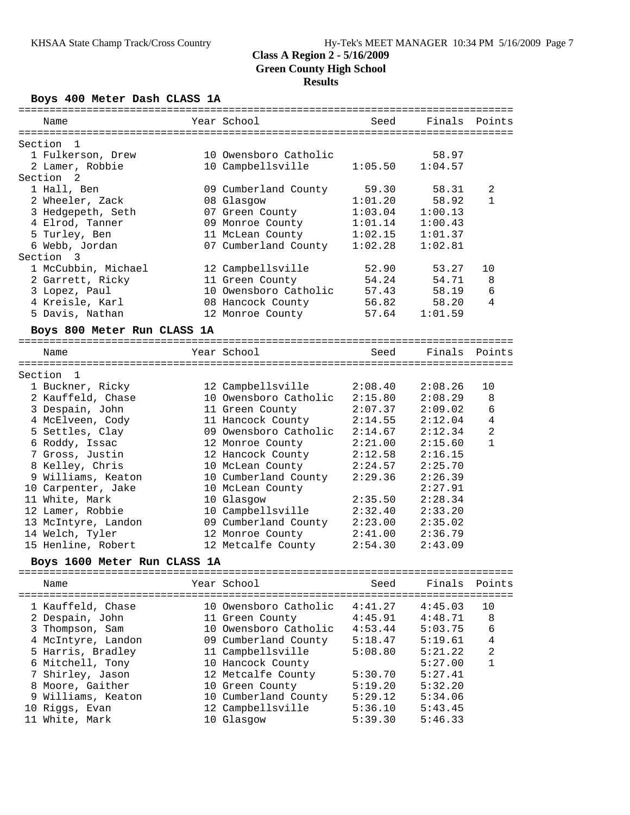**Boys 400 Meter Dash CLASS 1A**

| Name                         | Year School                              | Seed    | Finals  | Points       |
|------------------------------|------------------------------------------|---------|---------|--------------|
|                              |                                          |         |         |              |
| Section<br>1                 |                                          |         |         |              |
| 1 Fulkerson, Drew            | 10 Owensboro Catholic                    |         | 58.97   |              |
| 2 Lamer, Robbie              | 10 Campbellsville                        | 1:05.50 | 1:04.57 |              |
| Section <sub>2</sub>         |                                          |         |         |              |
| 1 Hall, Ben                  | 09 Cumberland County                     | 59.30   | 58.31   | 2            |
| 2 Wheeler, Zack              | 08 Glasgow                               | 1:01.20 | 58.92   | 1            |
| 3 Hedgepeth, Seth            | 07 Green County                          | 1:03.04 | 1:00.13 |              |
| 4 Elrod, Tanner              | 09 Monroe County                         | 1:01.14 | 1:00.43 |              |
| 5 Turley, Ben                | 11 McLean County                         | 1:02.15 | 1:01.37 |              |
| 6 Webb, Jordan               | 07 Cumberland County                     | 1:02.28 | 1:02.81 |              |
| Section<br>-3                |                                          |         |         |              |
| 1 McCubbin, Michael          | 12 Campbellsville                        | 52.90   | 53.27   | 10           |
| 2 Garrett, Ricky             | 11 Green County                          | 54.24   | 54.71   | 8            |
| 3 Lopez, Paul                | 10 Owensboro Catholic                    | 57.43   | 58.19   | 6            |
| 4 Kreisle, Karl              | 08 Hancock County                        | 56.82   | 58.20   | 4            |
| 5 Davis, Nathan              | 12 Monroe County                         | 57.64   | 1:01.59 |              |
| Boys 800 Meter Run CLASS 1A  |                                          |         |         |              |
| Name                         | Year School                              | Seed    | Finals  | Points       |
|                              |                                          |         |         |              |
| Section 1                    |                                          |         |         |              |
| 1 Buckner, Ricky             | 12 Campbellsville                        | 2:08.40 | 2:08.26 | 10           |
| 2 Kauffeld, Chase            | 10 Owensboro Catholic                    | 2:15.80 | 2:08.29 | 8            |
| 3 Despain, John              | 11 Green County                          | 2:07.37 | 2:09.02 | 6            |
| 4 McElveen, Cody             | 11 Hancock County                        | 2:14.55 | 2:12.04 | 4            |
| 5 Settles, Clay              | 09 Owensboro Catholic                    | 2:14.67 | 2:12.34 | 2            |
| 6 Roddy, Issac               | 12 Monroe County                         | 2:21.00 | 2:15.60 | $\mathbf{1}$ |
| 7 Gross, Justin              | 12 Hancock County                        | 2:12.58 | 2:16.15 |              |
| 8 Kelley, Chris              | 10 McLean County                         | 2:24.57 | 2:25.70 |              |
| 9 Williams, Keaton           | 10 Cumberland County                     | 2:29.36 | 2:26.39 |              |
| 10 Carpenter, Jake           | 10 McLean County                         |         | 2:27.91 |              |
| 11 White, Mark               | 10 Glasgow                               | 2:35.50 | 2:28.34 |              |
| 12 Lamer, Robbie             | 10 Campbellsville                        | 2:32.40 | 2:33.20 |              |
| 13 McIntyre, Landon          | 09 Cumberland County                     | 2:23.00 | 2:35.02 |              |
| 14 Welch, Tyler              | 12 Monroe County                         | 2:41.00 | 2:36.79 |              |
| 15 Henline, Robert           | 12 Metcalfe County                       | 2:54.30 | 2:43.09 |              |
| Boys 1600 Meter Run CLASS 1A |                                          |         |         |              |
| Name                         | Year School                              | Seed    | Finals  | Points       |
| 1 Kauffeld, Chase            | 10 Owensboro Catholic                    | 4:41.27 |         | 10           |
|                              |                                          |         | 4:45.03 |              |
| 2 Despain, John              | 11 Green County<br>10 Owensboro Catholic | 4:45.91 | 4:48.71 | 8            |
| 3 Thompson, Sam              |                                          | 4:53.44 | 5:03.75 | 6            |
| 4 McIntyre, Landon           | 09 Cumberland County                     | 5:18.47 | 5:19.61 | 4            |
| 5 Harris, Bradley            | 11 Campbellsville                        | 5:08.80 | 5:21.22 | 2            |
| 6 Mitchell, Tony             | 10 Hancock County                        |         | 5:27.00 | 1            |
| 7 Shirley, Jason             | 12 Metcalfe County                       | 5:30.70 | 5:27.41 |              |
| 8 Moore, Gaither             | 10 Green County                          | 5:19.20 | 5:32.20 |              |
| 9 Williams, Keaton           | 10 Cumberland County                     | 5:29.12 | 5:34.06 |              |

 10 Riggs, Evan 12 Campbellsville 5:36.10 5:43.45 11 White, Mark 10 Glasgow 5:39.30 5:46.33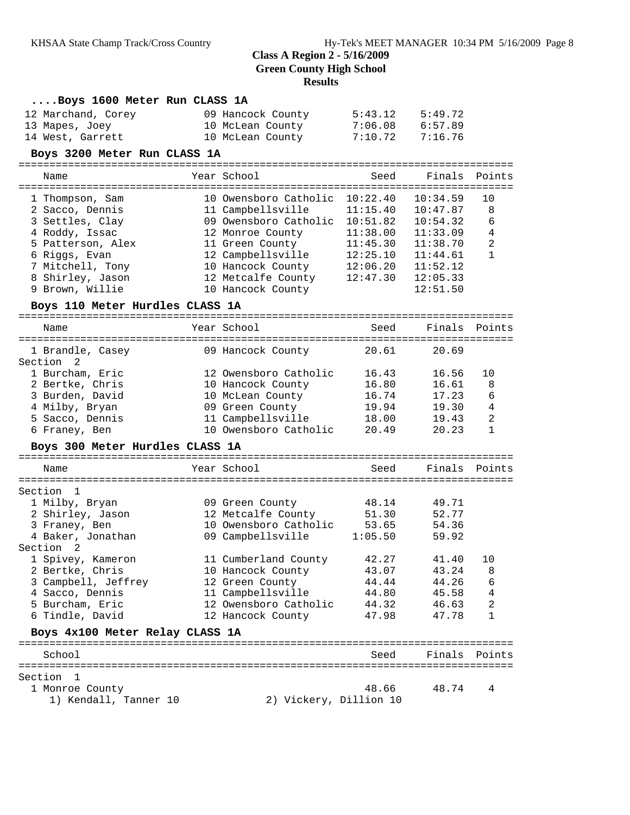| Boys 1600 Meter Run CLASS 1A    |                                |          |          |                |
|---------------------------------|--------------------------------|----------|----------|----------------|
| 12 Marchand, Corey              | 09 Hancock County              | 5:43.12  | 5:49.72  |                |
| 13 Mapes, Joey                  | 10 McLean County               | 7:06.08  | 6:57.89  |                |
| 14 West, Garrett                | 10 McLean County               | 7:10.72  | 7:16.76  |                |
| Boys 3200 Meter Run CLASS 1A    |                                |          |          |                |
| Name                            | Year School                    | Seed     | Finals   | Points         |
| 1 Thompson, Sam                 | 10 Owensboro Catholic          | 10:22.40 | 10:34.59 | 10             |
| 2 Sacco, Dennis                 | 11 Campbellsville              | 11:15.40 | 10:47.87 | 8              |
| 3 Settles, Clay                 | 09 Owensboro Catholic 10:51.82 |          | 10:54.32 | 6              |
| 4 Roddy, Issac                  | 12 Monroe County               | 11:38.00 | 11:33.09 | $\overline{4}$ |
| 5 Patterson, Alex               | 11 Green County                | 11:45.30 | 11:38.70 | $\sqrt{2}$     |
| 6 Riggs, Evan                   | 12 Campbellsville              | 12:25.10 | 11:44.61 | 1              |
| 7 Mitchell, Tony                | 10 Hancock County              | 12:06.20 | 11:52.12 |                |
| 8 Shirley, Jason                | 12 Metcalfe County             | 12:47.30 | 12:05.33 |                |
| 9 Brown, Willie                 | 10 Hancock County              |          | 12:51.50 |                |
| Boys 110 Meter Hurdles CLASS 1A |                                |          |          |                |
| Name                            | Year School                    | Seed     | Finals   | Points         |
| 1 Brandle, Casey                | 09 Hancock County              | 20.61    | 20.69    |                |
| Section 2                       |                                |          |          |                |
| 1 Burcham, Eric                 | 12 Owensboro Catholic          | 16.43    | 16.56    | 10             |
| 2 Bertke, Chris                 | 10 Hancock County              | 16.80    | 16.61    | 8              |
| 3 Burden, David                 | 10 McLean County               | 16.74    | 17.23    | 6              |
| 4 Milby, Bryan                  | 09 Green County                | 19.94    | 19.30    | 4              |
| 5 Sacco, Dennis                 | 11 Campbellsville              | 18.00    | 19.43    | 2              |
| 6 Franey, Ben                   | 10 Owensboro Catholic          | 20.49    | 20.23    | $\mathbf{1}$   |
| Boys 300 Meter Hurdles CLASS 1A |                                |          |          |                |
| Name                            | Year School                    | Seed     | Finals   | Points         |
| Section 1                       |                                |          |          |                |
| 1 Milby, Bryan                  | 09 Green County                | 48.14    | 49.71    |                |
| 2 Shirley, Jason                | 12 Metcalfe County             | 51.30    | 52.77    |                |
| 3 Franey, Ben                   | 10 Owensboro Catholic 53.65    |          | 54.36    |                |
| 4 Baker, Jonathan               | 09 Campbellsville              | 1:05.50  | 59.92    |                |
| Section 2                       |                                |          |          |                |
| 1 Spivey, Kameron               | 11 Cumberland County           | 42.27    | 41.40    | 10             |
| 2 Bertke, Chris                 | 10 Hancock County              | 43.07    | 43.24    | 8              |
| 3 Campbell, Jeffrey             | 12 Green County                | 44.44    | 44.26    | 6              |
| 4 Sacco, Dennis                 | 11 Campbellsville              | 44.80    | 45.58    | 4              |
| 5 Burcham, Eric                 | 12 Owensboro Catholic          | 44.32    | 46.63    | 2              |
| 6 Tindle, David                 | 12 Hancock County              | 47.98    | 47.78    | 1              |
| Boys 4x100 Meter Relay CLASS 1A |                                |          |          |                |
| School                          |                                | Seed     | Finals   | Points         |
| Section<br>$\mathbf{1}$         |                                |          |          |                |
| 1 Monroe County                 |                                | 48.66    | 48.74    | 4              |

1) Kendall, Tanner 10 2) Vickery, Dillion 10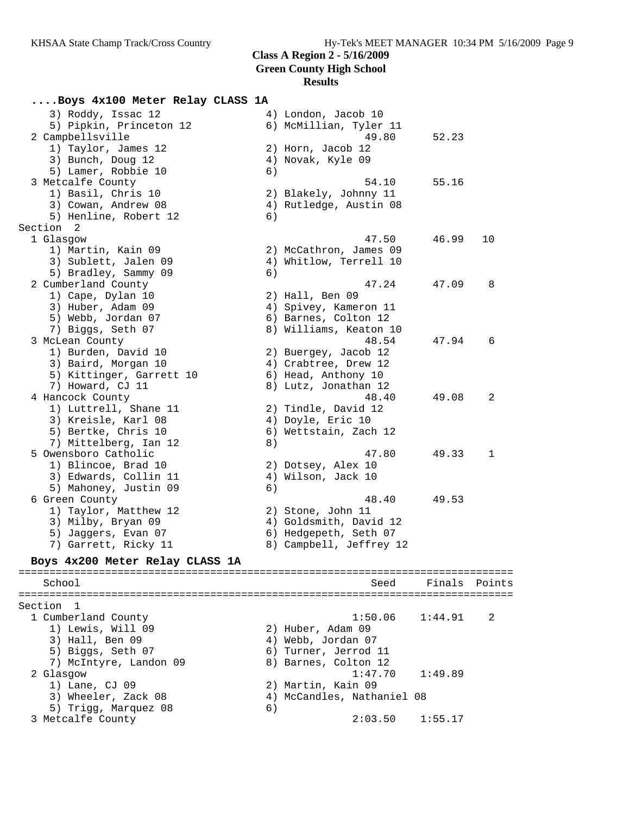# **....Boys 4x100 Meter Relay CLASS 1A**

| 3) Roddy, Issac 12<br>5) Pipkin, Princeton 12  |    | 4) London, Jacob 10<br>6) McMillian, Tyler 11 |               |    |
|------------------------------------------------|----|-----------------------------------------------|---------------|----|
| 2 Campbellsville<br>1) Taylor, James 12        |    | 49.80<br>2) Horn, Jacob 12                    | 52.23         |    |
| 3) Bunch, Doug 12<br>5) Lamer, Robbie 10       | 6) | 4) Novak, Kyle 09                             |               |    |
| 3 Metcalfe County                              |    | 54.10                                         | 55.16         |    |
| 1) Basil, Chris 10                             |    | 2) Blakely, Johnny 11                         |               |    |
| 3) Cowan, Andrew 08                            |    | 4) Rutledge, Austin 08                        |               |    |
| 5) Henline, Robert 12                          | 6) |                                               |               |    |
| Section 2                                      |    |                                               |               |    |
| 1 Glasgow                                      |    | 47.50                                         | 46.99         | 10 |
| 1) Martin, Kain 09                             |    | 2) McCathron, James 09                        |               |    |
| 3) Sublett, Jalen 09                           |    | 4) Whitlow, Terrell 10                        |               |    |
| 5) Bradley, Sammy 09                           | 6) | 47.24                                         | 47.09         | 8  |
| 2 Cumberland County<br>1) Cape, Dylan 10       |    | 2) Hall, Ben 09                               |               |    |
| 3) Huber, Adam 09                              |    | 4) Spivey, Kameron 11                         |               |    |
| 5) Webb, Jordan 07                             |    | 6) Barnes, Colton 12                          |               |    |
| 7) Biggs, Seth 07                              |    | 8) Williams, Keaton 10                        |               |    |
| 3 McLean County                                |    | 48.54                                         | 47.94         | 6  |
| 1) Burden, David 10                            |    | 2) Buergey, Jacob 12                          |               |    |
| 3) Baird, Morgan 10                            |    | 4) Crabtree, Drew 12                          |               |    |
| 5) Kittinger, Garrett 10                       |    | 6) Head, Anthony 10                           |               |    |
| 7) Howard, CJ 11                               |    | 8) Lutz, Jonathan 12                          |               |    |
| 4 Hancock County                               |    | 48.40                                         | 49.08         | 2  |
| 1) Luttrell, Shane 11                          |    | 2) Tindle, David 12                           |               |    |
| 3) Kreisle, Karl 08                            |    | 4) Doyle, Eric 10                             |               |    |
| 5) Bertke, Chris 10                            |    | 6) Wettstain, Zach 12                         |               |    |
| 7) Mittelberg, Ian 12                          | 8) |                                               |               |    |
| 5 Owensboro Catholic                           |    | 47.80                                         | 49.33         | 1  |
| 1) Blincoe, Brad 10                            |    | 2) Dotsey, Alex 10                            |               |    |
| 3) Edwards, Collin 11<br>5) Mahoney, Justin 09 | 6) | 4) Wilson, Jack 10                            |               |    |
| 6 Green County                                 |    | 48.40                                         | 49.53         |    |
| 1) Taylor, Matthew 12                          |    | 2) Stone, John 11                             |               |    |
| 3) Milby, Bryan 09                             |    | 4) Goldsmith, David 12                        |               |    |
| 5) Jaggers, Evan 07                            |    | 6) Hedgepeth, Seth 07                         |               |    |
| 7) Garrett, Ricky 11                           |    | 8) Campbell, Jeffrey 12                       |               |    |
| Boys 4x200 Meter Relay CLASS 1A                |    |                                               |               |    |
|                                                |    |                                               |               |    |
| School                                         |    | Seed                                          | Finals Points |    |
| Section<br>1                                   |    |                                               |               |    |
| 1 Cumberland County                            |    | 1:50.06                                       | 1:44.91       | 2  |
| 1) Lewis, Will 09                              |    | 2) Huber, Adam 09                             |               |    |
| 3) Hall, Ben 09                                |    | 4) Webb, Jordan 07                            |               |    |
| 5) Biggs, Seth 07                              |    | 6) Turner, Jerrod 11                          |               |    |
| 7) McIntyre, Landon 09                         |    | 8) Barnes, Colton 12                          |               |    |
| 2 Glasgow                                      |    | 1:47.70                                       | 1:49.89       |    |
| 1) Lane, CJ 09                                 |    | 2) Martin, Kain 09                            |               |    |
| 3) Wheeler, Zack 08                            |    | 4) McCandles, Nathaniel 08                    |               |    |
| 5) Trigg, Marquez 08                           | 6) |                                               |               |    |
| 3 Metcalfe County                              |    | 2:03.50                                       | 1:55.17       |    |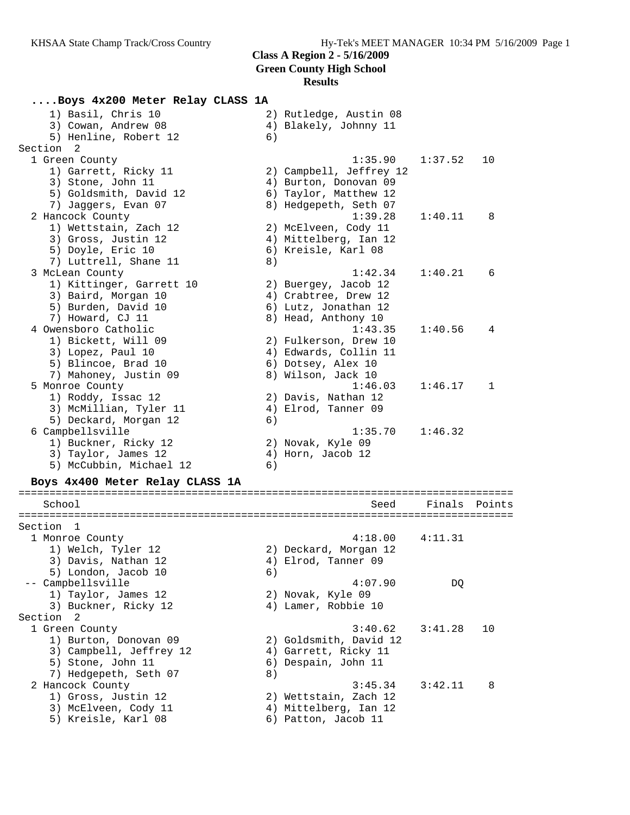# **....Boys 4x200 Meter Relay CLASS 1A**

| 1) Basil, Chris 10              |    | 2) Rutledge, Austin 08  |                 |        |
|---------------------------------|----|-------------------------|-----------------|--------|
| 3) Cowan, Andrew 08             |    | 4) Blakely, Johnny 11   |                 |        |
| 5) Henline, Robert 12           | 6) |                         |                 |        |
| Section 2                       |    |                         |                 |        |
| 1 Green County                  |    | 1:35.90                 | 1:37.52         | 10     |
| 1) Garrett, Ricky 11            |    | 2) Campbell, Jeffrey 12 |                 |        |
| 3) Stone, John 11               |    | 4) Burton, Donovan 09   |                 |        |
| 5) Goldsmith, David 12          |    | 6) Taylor, Matthew 12   |                 |        |
| 7) Jaggers, Evan 07             |    | 8) Hedgepeth, Seth 07   |                 |        |
| 2 Hancock County                |    | 1:39.28                 | 1:40.11         | 8      |
| 1) Wettstain, Zach 12           |    | 2) McElveen, Cody 11    |                 |        |
| 3) Gross, Justin 12             |    | 4) Mittelberg, Ian 12   |                 |        |
| 5) Doyle, Eric 10               |    | 6) Kreisle, Karl 08     |                 |        |
| 7) Luttrell, Shane 11           | 8) |                         |                 |        |
| 3 McLean County                 |    | 1:42.34                 | 1:40.21         | 6      |
| 1) Kittinger, Garrett 10        |    | 2) Buergey, Jacob 12    |                 |        |
| 3) Baird, Morgan 10             |    | 4) Crabtree, Drew 12    |                 |        |
| 5) Burden, David 10             |    | 6) Lutz, Jonathan 12    |                 |        |
| 7) Howard, CJ 11                |    | 8) Head, Anthony 10     |                 |        |
| 4 Owensboro Catholic            |    | 1:43.35                 | 1:40.56         | 4      |
| 1) Bickett, Will 09             |    | 2) Fulkerson, Drew 10   |                 |        |
| 3) Lopez, Paul 10               |    | 4) Edwards, Collin 11   |                 |        |
| 5) Blincoe, Brad 10             |    | 6) Dotsey, Alex 10      |                 |        |
| 7) Mahoney, Justin 09           |    | 8) Wilson, Jack 10      |                 |        |
| 5 Monroe County                 |    | 1:46.03                 | 1:46.17         | 1      |
| 1) Roddy, Issac 12              |    | 2) Davis, Nathan 12     |                 |        |
| 3) McMillian, Tyler 11          |    | 4) Elrod, Tanner 09     |                 |        |
| 5) Deckard, Morgan 12           | 6) |                         |                 |        |
| 6 Campbellsville                |    | 1:35.70                 | 1:46.32         |        |
| 1) Buckner, Ricky 12            |    | 2) Novak, Kyle 09       |                 |        |
| 3) Taylor, James 12             |    | 4) Horn, Jacob 12       |                 |        |
| 5) McCubbin, Michael 12         | 6) |                         |                 |        |
|                                 |    |                         |                 |        |
| Boys 4x400 Meter Relay CLASS 1A |    |                         |                 |        |
| School                          |    | Seed                    | Finals          | Points |
| Section 1                       |    |                         |                 |        |
| 1 Monroe County                 |    | $4.18$ 00               | $4 \cdot 11$ 21 |        |

| 1 Monroe County         | 4:18.00                | 4:11.31 |     |
|-------------------------|------------------------|---------|-----|
| 1) Welch, Tyler 12      | 2) Deckard, Morgan 12  |         |     |
| 3) Davis, Nathan 12     | 4) Elrod, Tanner 09    |         |     |
| 5) London, Jacob 10     | 6)                     |         |     |
| -- Campbellsville       | 4:07.90                | DO      |     |
| 1) Taylor, James 12     | 2) Novak, Kyle 09      |         |     |
| 3) Buckner, Ricky 12    | 4) Lamer, Robbie 10    |         |     |
| Section 2               |                        |         |     |
| 1 Green County          | 3:40.62                | 3:41.28 | 10  |
| 1) Burton, Donovan 09   | 2) Goldsmith, David 12 |         |     |
| 3) Campbell, Jeffrey 12 | 4) Garrett, Ricky 11   |         |     |
| 5) Stone, John 11       | 6) Despain, John 11    |         |     |
| 7) Hedgepeth, Seth 07   | 8)                     |         |     |
| 2 Hancock County        | 3:45.34                | 3:42.11 | - 8 |
| 1) Gross, Justin 12     | 2) Wettstain, Zach 12  |         |     |
| 3) McElveen, Cody 11    | 4) Mittelberg, Ian 12  |         |     |
| 5) Kreisle, Karl 08     | 6) Patton, Jacob 11    |         |     |
|                         |                        |         |     |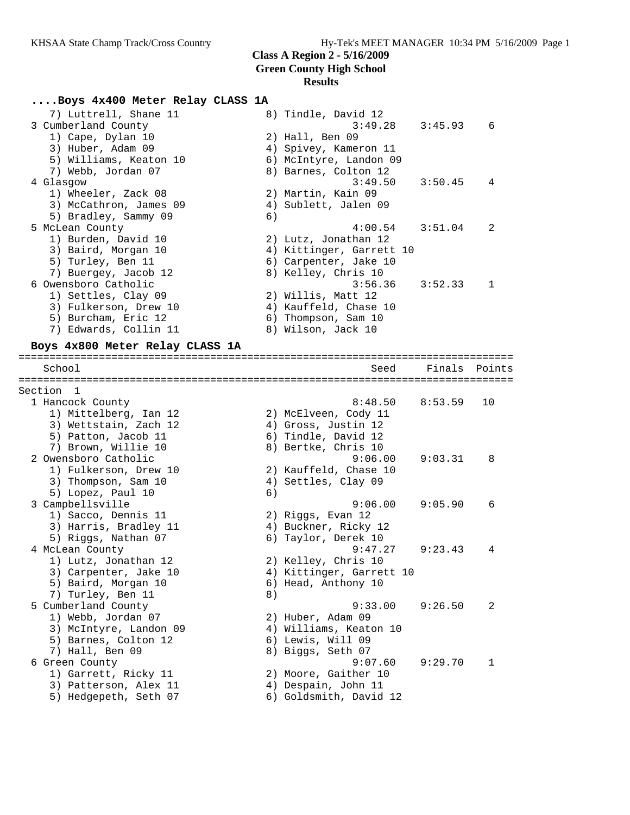#### **....Boys 4x400 Meter Relay CLASS 1A**

| 7) Luttrell, Shane 11  |    | 8) Tindle, David 12      |         |                |
|------------------------|----|--------------------------|---------|----------------|
| 3 Cumberland County    |    | 3:49.28                  | 3:45.93 | 6              |
| 1) Cape, Dylan 10      |    | 2) Hall, Ben 09          |         |                |
| 3) Huber, Adam 09      |    | 4) Spivey, Kameron 11    |         |                |
| 5) Williams, Keaton 10 |    | 6) McIntyre, Landon 09   |         |                |
| 7) Webb, Jordan 07     |    | 8) Barnes, Colton 12     |         |                |
| 4 Glasgow              |    | 3:49.50                  | 3:50.45 | 4              |
| 1) Wheeler, Zack 08    |    | 2) Martin, Kain 09       |         |                |
| 3) McCathron, James 09 |    | 4) Sublett, Jalen 09     |         |                |
| 5) Bradley, Sammy 09   | 6) |                          |         |                |
| 5 McLean County        |    | 4:00.54                  | 3:51.04 | $\overline{2}$ |
| 1) Burden, David 10    |    | 2) Lutz, Jonathan 12     |         |                |
| 3) Baird, Morgan 10    |    | 4) Kittinger, Garrett 10 |         |                |
| 5) Turley, Ben 11      |    | 6) Carpenter, Jake 10    |         |                |
| 7) Buergey, Jacob 12   |    | 8) Kelley, Chris 10      |         |                |
| 6 Owensboro Catholic   |    | 3:56.36                  | 3:52.33 | $\overline{1}$ |
| 1) Settles, Clay 09    |    | 2) Willis, Matt 12       |         |                |
| 3) Fulkerson, Drew 10  |    | 4) Kauffeld, Chase 10    |         |                |
| 5) Burcham, Eric 12    |    | 6) Thompson, Sam 10      |         |                |
| 7) Edwards, Collin 11  |    | 8) Wilson, Jack 10       |         |                |
|                        |    |                          |         |                |

================================================================================

#### **Boys 4x800 Meter Relay CLASS 1A**

 School Seed Finals Points ================================================================================ Section 1 1 Hancock County 8:48.50 8:53.59 10 1) Mittelberg, Ian 12 2) McElveen, Cody 11 3) Wettstain, Zach 12 4) Gross, Justin 12 5) Patton, Jacob 11 6) Tindle, David 12 7) Brown, Willie 10 8) Bertke, Chris 10 2 Owensboro Catholic 9:06.00 9:03.31 8 1) Fulkerson, Drew 10 2) Kauffeld, Chase 10 3) Thompson, Sam 10 4) Settles, Clay 09 5) Lopez, Paul 10 (6) 3 Campbellsville 9:06.00 9:05.90 6 1) Sacco, Dennis 11 2) Riggs, Evan 12 3) Harris, Bradley 11 (4) Buckner, Ricky 12 5) Riggs, Nathan 07 (6) Taylor, Derek 10 4 McLean County 9:47.27 9:23.43 4 1) Lutz, Jonathan 12 2) Kelley, Chris 10 3) Carpenter, Jake 10 4) Kittinger, Garrett 10 5) Baird, Morgan 10 6) Head, Anthony 10 7) Turley, Ben 11 8) 5 Cumberland County 9:33.00 9:26.50 2 1) Webb, Jordan 07 2) Huber, Adam 09 3) McIntyre, Landon 09 4) Williams, Keaton 10 5) Barnes, Colton 12 (6) Lewis, Will 09 7) Hall, Ben 09 8) Biggs, Seth 07 6 Green County 9:07.60 9:29.70 1 1) Garrett, Ricky 11 (2) Moore, Gaither 10 3) Patterson, Alex 11 (4) Despain, John 11 5) Hedgepeth, Seth 07 6) Goldsmith, David 12